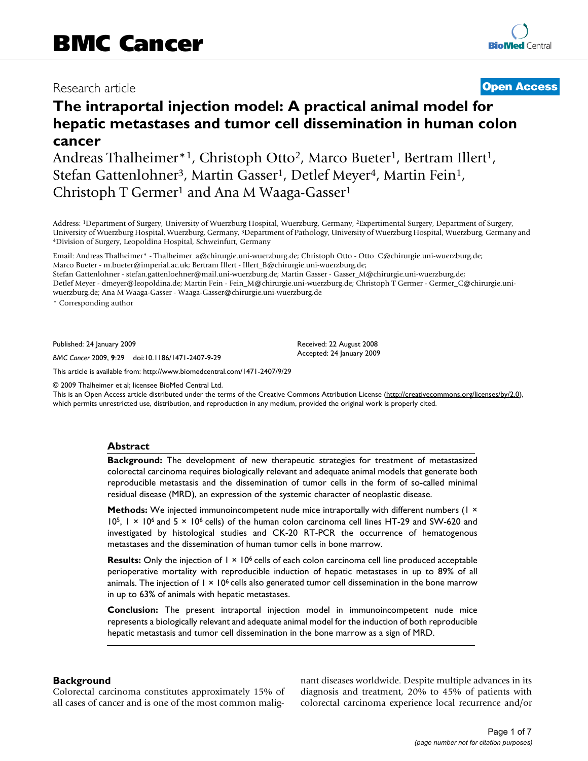# Research article **[Open Access](http://www.biomedcentral.com/info/about/charter/)**

# **The intraportal injection model: A practical animal model for hepatic metastases and tumor cell dissemination in human colon cancer**

Andreas Thalheimer\*1, Christoph Otto<sup>2</sup>, Marco Bueter<sup>1</sup>, Bertram Illert<sup>1</sup>, Stefan Gattenlohner<sup>3</sup>, Martin Gasser<sup>1</sup>, Detlef Meyer<sup>4</sup>, Martin Fein<sup>1</sup>, Christoph T Germer<sup>1</sup> and Ana M Waaga-Gasser<sup>1</sup>

Address: <sup>1</sup>Department of Surgery, University of Wuerzburg Hospital, Wuerzburg, Germany, <sup>2</sup>Expertimental Surgery, Department of Surgery, University of Wuerzburg Hospital, Wuerzburg, Germany, <sup>3</sup>Department of Pathology, University of Wuerzburg Hospital, Wuerzburg, Germany and 4Division of Surgery, Leopoldina Hospital, Schweinfurt, Germany

Email: Andreas Thalheimer\* - Thalheimer\_a@chirurgie.uni-wuerzburg.de; Christoph Otto - Otto\_C@chirurgie.uni-wuerzburg.de; Marco Bueter - m.bueter@imperial.ac.uk; Bertram Illert - Illert\_B@chirurgie.uni-wuerzburg.de;

Stefan Gattenlohner - stefan.gattenloehner@mail.uni-wuerzburg.de; Martin Gasser - Gasser\_M@chirurgie.uni-wuerzburg.de;

Detlef Meyer - dmeyer@leopoldina.de; Martin Fein - Fein\_M@chirurgie.uni-wuerzburg.de; Christoph T Germer - Germer\_C@chirurgie.uniwuerzburg.de; Ana M Waaga-Gasser - Waaga-Gasser@chirurgie.uni-wuerzburg.de

\* Corresponding author

Published: 24 January 2009

*BMC Cancer* 2009, **9**:29 doi:10.1186/1471-2407-9-29

[This article is available from: http://www.biomedcentral.com/1471-2407/9/29](http://www.biomedcentral.com/1471-2407/9/29)

© 2009 Thalheimer et al; licensee BioMed Central Ltd.

This is an Open Access article distributed under the terms of the Creative Commons Attribution License [\(http://creativecommons.org/licenses/by/2.0\)](http://creativecommons.org/licenses/by/2.0), which permits unrestricted use, distribution, and reproduction in any medium, provided the original work is properly cited.

Received: 22 August 2008 Accepted: 24 January 2009

#### **Abstract**

**Background:** The development of new therapeutic strategies for treatment of metastasized colorectal carcinoma requires biologically relevant and adequate animal models that generate both reproducible metastasis and the dissemination of tumor cells in the form of so-called minimal residual disease (MRD), an expression of the systemic character of neoplastic disease.

**Methods:** We injected immunoincompetent nude mice intraportally with different numbers (1 × 105, 1 × 106 and 5 × 106 cells) of the human colon carcinoma cell lines HT-29 and SW-620 and investigated by histological studies and CK-20 RT-PCR the occurrence of hematogenous metastases and the dissemination of human tumor cells in bone marrow.

**Results:** Only the injection of  $1 \times 10^6$  cells of each colon carcinoma cell line produced acceptable perioperative mortality with reproducible induction of hepatic metastases in up to 89% of all animals. The injection of  $1 \times 10^6$  cells also generated tumor cell dissemination in the bone marrow in up to 63% of animals with hepatic metastases.

**Conclusion:** The present intraportal injection model in immunoincompetent nude mice represents a biologically relevant and adequate animal model for the induction of both reproducible hepatic metastasis and tumor cell dissemination in the bone marrow as a sign of MRD.

#### **Background**

Colorectal carcinoma constitutes approximately 15% of all cases of cancer and is one of the most common malignant diseases worldwide. Despite multiple advances in its diagnosis and treatment, 20% to 45% of patients with colorectal carcinoma experience local recurrence and/or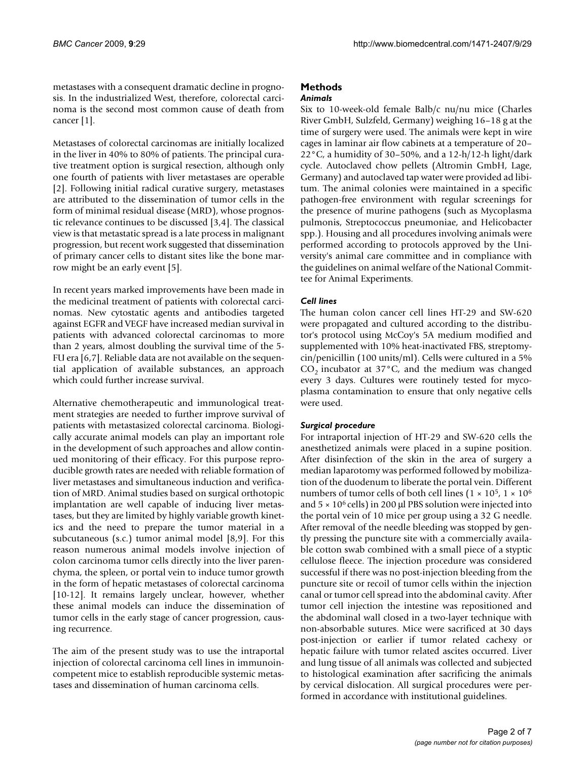metastases with a consequent dramatic decline in prognosis. In the industrialized West, therefore, colorectal carcinoma is the second most common cause of death from cancer [1].

Metastases of colorectal carcinomas are initially localized in the liver in 40% to 80% of patients. The principal curative treatment option is surgical resection, although only one fourth of patients with liver metastases are operable [2]. Following initial radical curative surgery, metastases are attributed to the dissemination of tumor cells in the form of minimal residual disease (MRD), whose prognostic relevance continues to be discussed [3,4]. The classical view is that metastatic spread is a late process in malignant progression, but recent work suggested that dissemination of primary cancer cells to distant sites like the bone marrow might be an early event [5].

In recent years marked improvements have been made in the medicinal treatment of patients with colorectal carcinomas. New cytostatic agents and antibodies targeted against EGFR and VEGF have increased median survival in patients with advanced colorectal carcinomas to more than 2 years, almost doubling the survival time of the 5- FU era [6,7]. Reliable data are not available on the sequential application of available substances, an approach which could further increase survival.

Alternative chemotherapeutic and immunological treatment strategies are needed to further improve survival of patients with metastasized colorectal carcinoma. Biologically accurate animal models can play an important role in the development of such approaches and allow continued monitoring of their efficacy. For this purpose reproducible growth rates are needed with reliable formation of liver metastases and simultaneous induction and verification of MRD. Animal studies based on surgical orthotopic implantation are well capable of inducing liver metastases, but they are limited by highly variable growth kinetics and the need to prepare the tumor material in a subcutaneous (s.c.) tumor animal model [8,9]. For this reason numerous animal models involve injection of colon carcinoma tumor cells directly into the liver parenchyma, the spleen, or portal vein to induce tumor growth in the form of hepatic metastases of colorectal carcinoma [10-12]. It remains largely unclear, however, whether these animal models can induce the dissemination of tumor cells in the early stage of cancer progression, causing recurrence.

The aim of the present study was to use the intraportal injection of colorectal carcinoma cell lines in immunoincompetent mice to establish reproducible systemic metastases and dissemination of human carcinoma cells.

## **Methods**

#### *Animals*

Six to 10-week-old female Balb/c nu/nu mice (Charles River GmbH, Sulzfeld, Germany) weighing 16–18 g at the time of surgery were used. The animals were kept in wire cages in laminar air flow cabinets at a temperature of 20– 22°C, a humidity of 30–50%, and a 12-h/12-h light/dark cycle. Autoclaved chow pellets (Altromin GmbH, Lage, Germany) and autoclaved tap water were provided ad libitum. The animal colonies were maintained in a specific pathogen-free environment with regular screenings for the presence of murine pathogens (such as Mycoplasma pulmonis, Streptococcus pneumoniae, and Helicobacter spp.). Housing and all procedures involving animals were performed according to protocols approved by the University's animal care committee and in compliance with the guidelines on animal welfare of the National Committee for Animal Experiments.

### *Cell lines*

The human colon cancer cell lines HT-29 and SW-620 were propagated and cultured according to the distributor's protocol using McCoy's 5A medium modified and supplemented with 10% heat-inactivated FBS, streptomycin/penicillin (100 units/ml). Cells were cultured in a 5%  $CO<sub>2</sub>$  incubator at 37 $^{\circ}$ C, and the medium was changed every 3 days. Cultures were routinely tested for mycoplasma contamination to ensure that only negative cells were used.

#### *Surgical procedure*

For intraportal injection of HT-29 and SW-620 cells the anesthetized animals were placed in a supine position. After disinfection of the skin in the area of surgery a median laparotomy was performed followed by mobilization of the duodenum to liberate the portal vein. Different numbers of tumor cells of both cell lines ( $1 \times 10^5$ ,  $1 \times 10^6$ ) and  $5 \times 10^6$  cells) in 200 μl PBS solution were injected into the portal vein of 10 mice per group using a 32 G needle. After removal of the needle bleeding was stopped by gently pressing the puncture site with a commercially available cotton swab combined with a small piece of a styptic cellulose fleece. The injection procedure was considered successful if there was no post-injection bleeding from the puncture site or recoil of tumor cells within the injection canal or tumor cell spread into the abdominal cavity. After tumor cell injection the intestine was repositioned and the abdominal wall closed in a two-layer technique with non-absorbable sutures. Mice were sacrificed at 30 days post-injection or earlier if tumor related cachexy or hepatic failure with tumor related ascites occurred. Liver and lung tissue of all animals was collected and subjected to histological examination after sacrificing the animals by cervical dislocation. All surgical procedures were performed in accordance with institutional guidelines.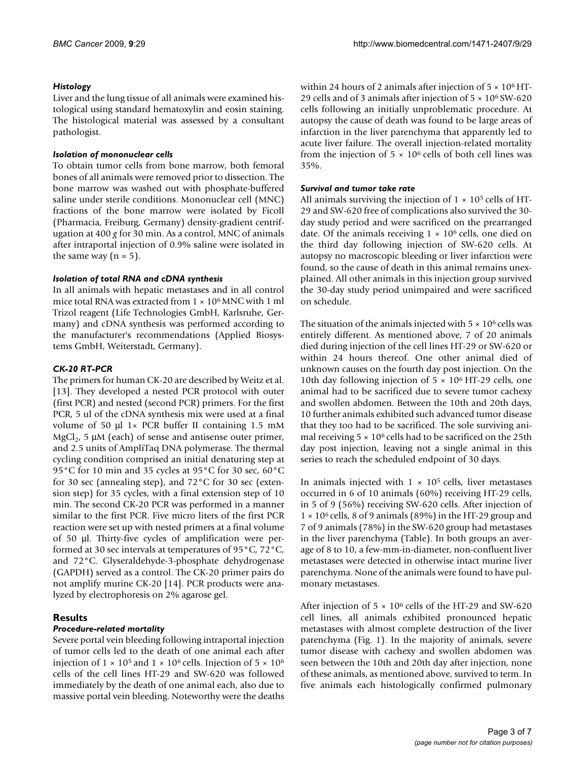#### *Histology*

Liver and the lung tissue of all animals were examined histological using standard hematoxylin and eosin staining. The histological material was assessed by a consultant pathologist.

#### *Isolation of mononuclear cells*

To obtain tumor cells from bone marrow, both femoral bones of all animals were removed prior to dissection. The bone marrow was washed out with phosphate-buffered saline under sterile conditions. Mononuclear cell (MNC) fractions of the bone marrow were isolated by Ficoll (Pharmacia, Freiburg, Germany) density-gradient centrifugation at 400 *g* for 30 min. As a control, MNC of animals after intraportal injection of 0.9% saline were isolated in the same way  $(n = 5)$ .

#### *Isolation of total RNA and cDNA synthesis*

In all animals with hepatic metastases and in all control mice total RNA was extracted from 1 × 106 MNC with 1 ml Trizol reagent (Life Technologies GmbH, Karlsruhe, Germany) and cDNA synthesis was performed according to the manufacturer's recommendations (Applied Biosystems GmbH, Weiterstadt, Germany).

#### *CK-20 RT-PCR*

The primers for human CK-20 are described by Weitz et al. [13]. They developed a nested PCR protocol with outer (first PCR) and nested (second PCR) primers. For the first PCR, 5 ul of the cDNA synthesis mix were used at a final volume of 50 μl 1× PCR buffer II containing 1.5 mM MgCl<sub>2</sub>, 5  $\mu$ M (each) of sense and antisense outer primer, and 2.5 units of AmpliTaq DNA polymerase. The thermal cycling condition comprised an initial denaturing step at 95°C for 10 min and 35 cycles at 95°C for 30 sec, 60°C for 30 sec (annealing step), and 72°C for 30 sec (extension step) for 35 cycles, with a final extension step of 10 min. The second CK-20 PCR was performed in a manner similar to the first PCR. Five micro liters of the first PCR reaction were set up with nested primers at a final volume of 50 μl. Thirty-five cycles of amplification were performed at 30 sec intervals at temperatures of 95°C, 72°C, and 72°C. Glyseraldehyde-3-phosphate dehydrogenase (GAPDH) served as a control. The CK-20 primer pairs do not amplify murine CK-20 [14]. PCR products were analyzed by electrophoresis on 2% agarose gel.

#### **Results**

#### *Procedure-related mortality*

Severe portal vein bleeding following intraportal injection of tumor cells led to the death of one animal each after injection of  $1 \times 10^5$  and  $1 \times 10^6$  cells. Injection of  $5 \times 10^6$ cells of the cell lines HT-29 and SW-620 was followed immediately by the death of one animal each, also due to massive portal vein bleeding. Noteworthy were the deaths

within 24 hours of 2 animals after injection of  $5 \times 10^6$  HT-29 cells and of 3 animals after injection of 5 × 106 SW-620 cells following an initially unproblematic procedure. At autopsy the cause of death was found to be large areas of infarction in the liver parenchyma that apparently led to acute liver failure. The overall injection-related mortality from the injection of  $5 \times 10^6$  cells of both cell lines was 35%.

#### *Survival and tumor take rate*

All animals surviving the injection of  $1 \times 10^5$  cells of HT-29 and SW-620 free of complications also survived the 30 day study period and were sacrificed on the prearranged date. Of the animals receiving  $1 \times 10^6$  cells, one died on the third day following injection of SW-620 cells. At autopsy no macroscopic bleeding or liver infarction were found, so the cause of death in this animal remains unexplained. All other animals in this injection group survived the 30-day study period unimpaired and were sacrificed on schedule.

The situation of the animals injected with  $5 \times 10^6$  cells was entirely different. As mentioned above, 7 of 20 animals died during injection of the cell lines HT-29 or SW-620 or within 24 hours thereof. One other animal died of unknown causes on the fourth day post injection. On the 10th day following injection of  $5 \times 10^6$  HT-29 cells, one animal had to be sacrificed due to severe tumor cachexy and swollen abdomen. Between the 10th and 20th days, 10 further animals exhibited such advanced tumor disease that they too had to be sacrificed. The sole surviving animal receiving  $5 \times 10^6$  cells had to be sacrificed on the 25th day post injection, leaving not a single animal in this series to reach the scheduled endpoint of 30 days.

In animals injected with  $1 \times 10^5$  cells, liver metastases occurred in 6 of 10 animals (60%) receiving HT-29 cells, in 5 of 9 (56%) receiving SW-620 cells. After injection of  $1 \times 10^6$  cells, 8 of 9 animals (89%) in the HT-29 group and 7 of 9 animals (78%) in the SW-620 group had metastases in the liver parenchyma (Table). In both groups an average of 8 to 10, a few-mm-in-diameter, non-confluent liver metastases were detected in otherwise intact murine liver parenchyma. None of the animals were found to have pulmonary metastases.

After injection of  $5 \times 10^6$  cells of the HT-29 and SW-620 cell lines, all animals exhibited pronounced hepatic metastases with almost complete destruction of the liver parenchyma (Fig. 1). In the majority of animals, severe tumor disease with cachexy and swollen abdomen was seen between the 10th and 20th day after injection, none of these animals, as mentioned above, survived to term. In five animals each histologically confirmed pulmonary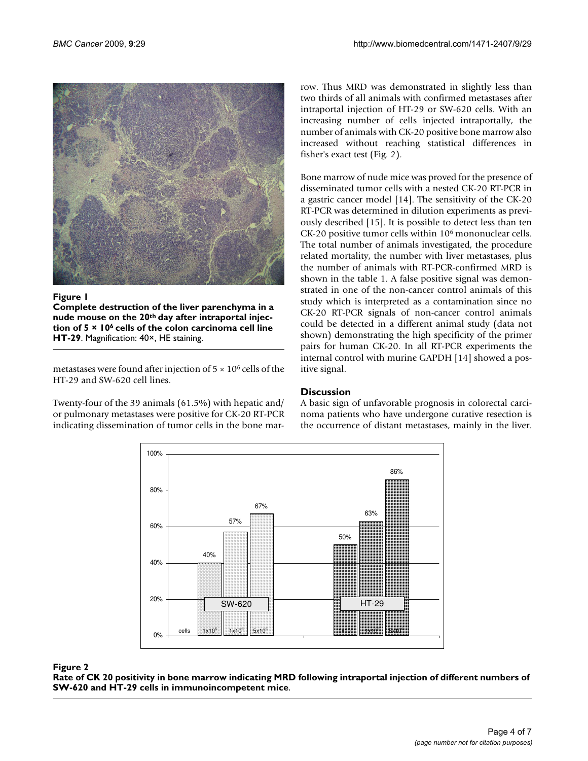

Figure 1

**Complete destruction of the liver parenchyma in a nude mouse on the 20th day after intraportal injection of 5 × 106 cells of the colon carcinoma cell line HT-29**. Magnification: 40×, HE staining.

metastases were found after injection of  $5 \times 10^6$  cells of the HT-29 and SW-620 cell lines.

Twenty-four of the 39 animals (61.5%) with hepatic and/ or pulmonary metastases were positive for CK-20 RT-PCR indicating dissemination of tumor cells in the bone marrow. Thus MRD was demonstrated in slightly less than two thirds of all animals with confirmed metastases after intraportal injection of HT-29 or SW-620 cells. With an increasing number of cells injected intraportally, the number of animals with CK-20 positive bone marrow also increased without reaching statistical differences in fisher's exact test (Fig. 2).

Bone marrow of nude mice was proved for the presence of disseminated tumor cells with a nested CK-20 RT-PCR in a gastric cancer model [14]. The sensitivity of the CK-20 RT-PCR was determined in dilution experiments as previously described [15]. It is possible to detect less than ten CK-20 positive tumor cells within 106 mononuclear cells. The total number of animals investigated, the procedure related mortality, the number with liver metastases, plus the number of animals with RT-PCR-confirmed MRD is shown in the table 1. A false positive signal was demonstrated in one of the non-cancer control animals of this study which is interpreted as a contamination since no CK-20 RT-PCR signals of non-cancer control animals could be detected in a different animal study (data not shown) demonstrating the high specificity of the primer pairs for human CK-20. In all RT-PCR experiments the internal control with murine GAPDH [14] showed a positive signal.

### **Discussion**

A basic sign of unfavorable prognosis in colorectal carcinoma patients who have undergone curative resection is the occurrence of distant metastases, mainly in the liver.



HT-29 cells in immunoincompetent mice **Figure 2** Rate of CK 20 positivity in bone marrow indicating MRD following intraportal injection of different numbers of SW-620 and **Rate of CK 20 positivity in bone marrow indicating MRD following intraportal injection of different numbers of SW-620 and HT-29 cells in immunoincompetent mice**.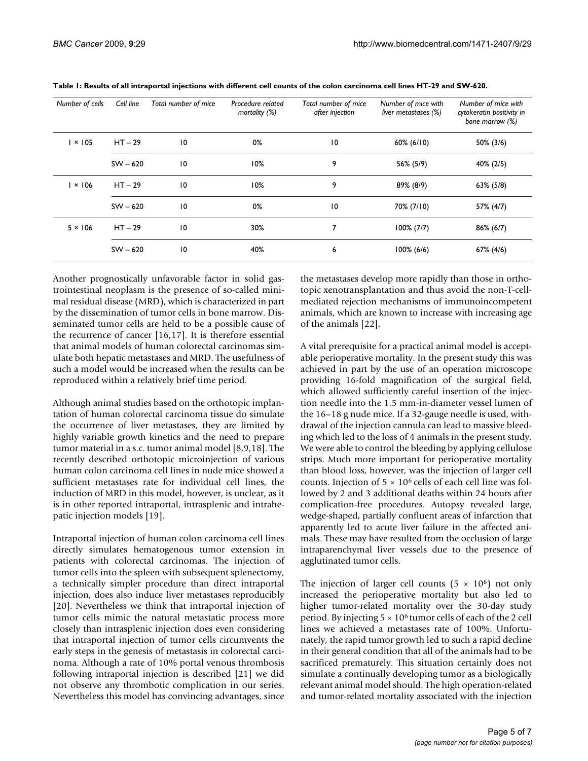| Number of cells | Cell line  | Total number of mice | Procedure related<br>mortality (%) | Total number of mice<br>after injection | Number of mice with<br>liver metastases (%) | Number of mice with<br>cytokeratin positivity in<br>bone marrow (%) |
|-----------------|------------|----------------------|------------------------------------|-----------------------------------------|---------------------------------------------|---------------------------------------------------------------------|
| $1 \times 105$  | $HT - 29$  | $\overline{10}$      | 0%                                 | 10                                      | $60\% (6/10)$                               | 50% (3/6)                                                           |
|                 | $SW - 620$ | $\overline{10}$      | 10%                                | 9                                       | 56% (5/9)                                   | 40% (2/5)                                                           |
| $1 \times 106$  | $HT - 29$  | $\overline{10}$      | 10%                                | 9                                       | 89% (8/9)                                   | 63% (5/8)                                                           |
|                 | $SW - 620$ | 10                   | 0%                                 | 10                                      | 70% (7/10)                                  | 57% (4/7)                                                           |
| $5 \times 106$  | $HT - 29$  | 10                   | 30%                                | 7                                       | $100\% (7/7)$                               | 86% (6/7)                                                           |
|                 | $SW - 620$ | 10                   | 40%                                | 6                                       | $100\% (6/6)$                               | 67% (4/6)                                                           |

**Table 1: Results of all intraportal injections with different cell counts of the colon carcinoma cell lines HT-29 and SW-620.**

Another prognostically unfavorable factor in solid gastrointestinal neoplasm is the presence of so-called minimal residual disease (MRD), which is characterized in part by the dissemination of tumor cells in bone marrow. Disseminated tumor cells are held to be a possible cause of the recurrence of cancer [16,17]. It is therefore essential that animal models of human colorectal carcinomas simulate both hepatic metastases and MRD. The usefulness of such a model would be increased when the results can be reproduced within a relatively brief time period.

Although animal studies based on the orthotopic implantation of human colorectal carcinoma tissue do simulate the occurrence of liver metastases, they are limited by highly variable growth kinetics and the need to prepare tumor material in a s.c. tumor animal model [8,9,18]. The recently described orthotopic microinjection of various human colon carcinoma cell lines in nude mice showed a sufficient metastases rate for individual cell lines, the induction of MRD in this model, however, is unclear, as it is in other reported intraportal, intrasplenic and intrahepatic injection models [19].

Intraportal injection of human colon carcinoma cell lines directly simulates hematogenous tumor extension in patients with colorectal carcinomas. The injection of tumor cells into the spleen with subsequent splenectomy, a technically simpler procedure than direct intraportal injection, does also induce liver metastases reproducibly [20]. Nevertheless we think that intraportal injection of tumor cells mimic the natural metastatic process more closely than intrasplenic injection does even considering that intraportal injection of tumor cells circumvents the early steps in the genesis of metastasis in colorectal carcinoma. Although a rate of 10% portal venous thrombosis following intraportal injection is described [21] we did not observe any thrombotic complication in our series. Nevertheless this model has convincing advantages, since

the metastases develop more rapidly than those in orthotopic xenotransplantation and thus avoid the non-T-cellmediated rejection mechanisms of immunoincompetent animals, which are known to increase with increasing age of the animals [22].

A vital prerequisite for a practical animal model is acceptable perioperative mortality. In the present study this was achieved in part by the use of an operation microscope providing 16-fold magnification of the surgical field, which allowed sufficiently careful insertion of the injection needle into the 1.5 mm-in-diameter vessel lumen of the 16–18 g nude mice. If a 32-gauge needle is used, withdrawal of the injection cannula can lead to massive bleeding which led to the loss of 4 animals in the present study. We were able to control the bleeding by applying cellulose strips. Much more important for perioperative mortality than blood loss, however, was the injection of larger cell counts. Injection of  $5 \times 10^6$  cells of each cell line was followed by 2 and 3 additional deaths within 24 hours after complication-free procedures. Autopsy revealed large, wedge-shaped, partially confluent areas of infarction that apparently led to acute liver failure in the affected animals. These may have resulted from the occlusion of large intraparenchymal liver vessels due to the presence of agglutinated tumor cells.

The injection of larger cell counts  $(5 \times 10^6)$  not only increased the perioperative mortality but also led to higher tumor-related mortality over the 30-day study period. By injecting  $5 \times 10^6$  tumor cells of each of the 2 cell lines we achieved a metastases rate of 100%. Unfortunately, the rapid tumor growth led to such a rapid decline in their general condition that all of the animals had to be sacrificed prematurely. This situation certainly does not simulate a continually developing tumor as a biologically relevant animal model should. The high operation-related and tumor-related mortality associated with the injection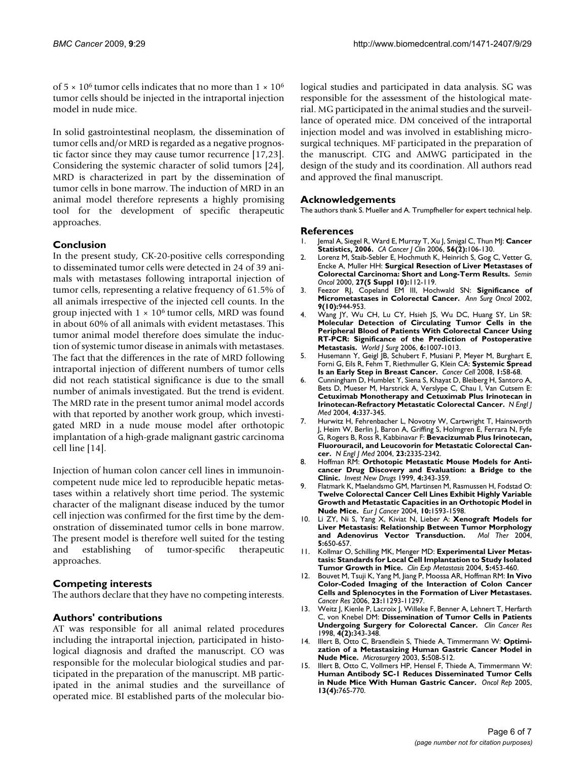of  $5 \times 10^6$  tumor cells indicates that no more than  $1 \times 10^6$ tumor cells should be injected in the intraportal injection model in nude mice.

In solid gastrointestinal neoplasm, the dissemination of tumor cells and/or MRD is regarded as a negative prognostic factor since they may cause tumor recurrence [17,23]. Considering the systemic character of solid tumors [24], MRD is characterized in part by the dissemination of tumor cells in bone marrow. The induction of MRD in an animal model therefore represents a highly promising tool for the development of specific therapeutic approaches.

#### **Conclusion**

In the present study, CK-20-positive cells corresponding to disseminated tumor cells were detected in 24 of 39 animals with metastases following intraportal injection of tumor cells, representing a relative frequency of 61.5% of all animals irrespective of the injected cell counts. In the group injected with  $1 \times 10^6$  tumor cells, MRD was found in about 60% of all animals with evident metastases. This tumor animal model therefore does simulate the induction of systemic tumor disease in animals with metastases. The fact that the differences in the rate of MRD following intraportal injection of different numbers of tumor cells did not reach statistical significance is due to the small number of animals investigated. But the trend is evident. The MRD rate in the present tumor animal model accords with that reported by another work group, which investigated MRD in a nude mouse model after orthotopic implantation of a high-grade malignant gastric carcinoma cell line [14].

Injection of human colon cancer cell lines in immunoincompetent nude mice led to reproducible hepatic metastases within a relatively short time period. The systemic character of the malignant disease induced by the tumor cell injection was confirmed for the first time by the demonstration of disseminated tumor cells in bone marrow. The present model is therefore well suited for the testing and establishing of tumor-specific therapeutic approaches.

#### **Competing interests**

The authors declare that they have no competing interests.

#### **Authors' contributions**

AT was responsible for all animal related procedures including the intraportal injection, participated in histological diagnosis and drafted the manuscript. CO was responsible for the molecular biological studies and participated in the preparation of the manuscript. MB participated in the animal studies and the surveillance of operated mice. BI established parts of the molecular biological studies and participated in data analysis. SG was responsible for the assessment of the histological material. MG participated in the animal studies and the surveillance of operated mice. DM conceived of the intraportal injection model and was involved in establishing microsurgical techniques. MF participated in the preparation of the manuscript. CTG and AMWG participated in the design of the study and its coordination. All authors read and approved the final manuscript.

#### **Acknowledgements**

The authors thank S. Mueller and A. Trumpfheller for expert technical help.

#### **References**

- 1. Jemal A, Siegel R, Ward E, Murray T, Xu J, Smigal C, Thun MJ: **[Cancer](http://www.ncbi.nlm.nih.gov/entrez/query.fcgi?cmd=Retrieve&db=PubMed&dopt=Abstract&list_uids=16514137) [Statistics, 2006.](http://www.ncbi.nlm.nih.gov/entrez/query.fcgi?cmd=Retrieve&db=PubMed&dopt=Abstract&list_uids=16514137)** *CA Cancer J Clin* 2006, **56(2):**106-130.
- 2. Lorenz M, Staib-Sebler E, Hochmuth K, Heinrich S, Gog C, Vetter G, Encke A, Muller HH: **[Surgical Resection of Liver Metastases of](http://www.ncbi.nlm.nih.gov/entrez/query.fcgi?cmd=Retrieve&db=PubMed&dopt=Abstract&list_uids=11049042) [Colorectal Carcinoma: Short and Long-Term Results.](http://www.ncbi.nlm.nih.gov/entrez/query.fcgi?cmd=Retrieve&db=PubMed&dopt=Abstract&list_uids=11049042)** *Semin Oncol* 2000, **27(5 Suppl 10):**112-119.
- 3. Feezor RJ, Copeland EM III, Hochwald SN: **[Significance of](http://www.ncbi.nlm.nih.gov/entrez/query.fcgi?cmd=Retrieve&db=PubMed&dopt=Abstract&list_uids=12464585) [Micrometastases in Colorectal Cancer.](http://www.ncbi.nlm.nih.gov/entrez/query.fcgi?cmd=Retrieve&db=PubMed&dopt=Abstract&list_uids=12464585)** *Ann Surg Oncol* 2002, **9(10):**944-953.
- 4. Wang JY, Wu CH, Lu CY, Hsieh JS, Wu DC, Huang SY, Lin SR: **Molecular Detection of Circulating Tumor Cells in the Peripheral Blood of Patients With Colorectal Cancer Using RT-PCR: Significance of the Prediction of Postoperative Metastasis.** *World J Surg* 2006, **6:**1007-1013.
- 5. Husemann Y, Geigl JB, Schubert F, Musiani P, Meyer M, Burghart E, Forni G, Eils R, Fehm T, Riethmuller G, Klein CA: **Systemic Spread Is an Early Step in Breast Cancer.** *Cancer Cell* 2008, **1:**58-68.
- 6. Cunningham D, Humblet Y, Siena S, Khayat D, Bleiberg H, Santoro A, Bets D, Mueser M, Harstrick A, Verslype C, Chau I, Van Cutsem E: **Cetuximab Monotherapy and Cetuximab Plus Irinotecan in Irinotecan-Refractory Metastatic Colorectal Cancer.** *N Engl J Med* 2004, **4:**337-345.
- 7. Hurwitz H, Fehrenbacher L, Novotny W, Cartwright T, Hainsworth J, Heim W, Berlin J, Baron A, Griffing S, Holmgren E, Ferrara N, Fyfe G, Rogers B, Ross R, Kabbinavar F: **Bevacizumab Plus Irinotecan, Fluorouracil, and Leucovorin for Metastatic Colorectal Cancer.** *N Engl J Med* 2004, **23:**2335-2342.
- 8. Hoffman RM: **Orthotopic Metastatic Mouse Models for Anticancer Drug Discovery and Evaluation: a Bridge to the Clinic.** *Invest New Drugs* 1999, **4:**343-359.
- 9. Flatmark K, Maelandsmo GM, Martinsen M, Rasmussen H, Fodstad O: **Twelve Colorectal Cancer Cell Lines Exhibit Highly Variable Growth and Metastatic Capacities in an Orthotopic Model in Nude Mice.** *Eur J Cancer* 2004, **10:**1593-1598.
- 10. Li ZY, Ni S, Yang X, Kiviat N, Lieber A: **Xenograft Models for Liver Metastasis: Relationship Between Tumor Morphology** and Adenovirus Vector Transduction. **5:**650-657.
- 11. Kollmar O, Schilling MK, Menger MD: **Experimental Liver Metastasis: Standards for Local Cell Implantation to Study Isolated Tumor Growth in Mice.** *Clin Exp Metastasis* 2004, **5:**453-460.
- 12. Bouvet M, Tsuji K, Yang M, Jiang P, Moossa AR, Hoffman RM: **In Vivo Color-Coded Imaging of the Interaction of Colon Cancer Cells and Splenocytes in the Formation of Liver Metastases.** *Cancer Res* 2006, **23:**11293-11297.
- 13. Weitz J, Kienle P, Lacroix J, Willeke F, Benner A, Lehnert T, Herfarth C, von Knebel DM: **[Dissemination of Tumor Cells in Patients](http://www.ncbi.nlm.nih.gov/entrez/query.fcgi?cmd=Retrieve&db=PubMed&dopt=Abstract&list_uids=9516921) [Undergoing Surgery for Colorectal Cancer.](http://www.ncbi.nlm.nih.gov/entrez/query.fcgi?cmd=Retrieve&db=PubMed&dopt=Abstract&list_uids=9516921)** *Clin Cancer Res* 1998, **4(2):**343-348.
- 14. Illert B, Otto C, Braendlein S, Thiede A, Timmermann W: **Optimization of a Metastasizing Human Gastric Cancer Model in Nude Mice.** *Microsurgery* 2003, **5:**508-512.
- 15. Illert B, Otto C, Vollmers HP, Hensel F, Thiede A, Timmermann W: **[Human Antibody SC-1 Reduces Disseminated Tumor Cells](http://www.ncbi.nlm.nih.gov/entrez/query.fcgi?cmd=Retrieve&db=PubMed&dopt=Abstract&list_uids=15756455) [in Nude Mice With Human Gastric Cancer.](http://www.ncbi.nlm.nih.gov/entrez/query.fcgi?cmd=Retrieve&db=PubMed&dopt=Abstract&list_uids=15756455)** *Oncol Rep* 2005, **13(4):**765-770.